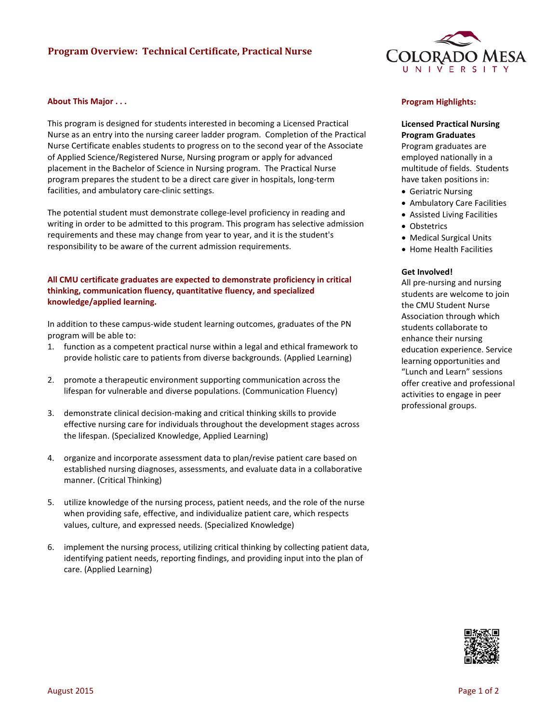# **Program Overview: Technical Certificate, Practical Nurse**

### **About This Major . . .**

This program is designed for students interested in becoming a Licensed Practical Nurse as an entry into the nursing career ladder program. Completion of the Practical Nurse Certificate enables students to progress on to the second year of the Associate of Applied Science/Registered Nurse, Nursing program or apply for advanced placement in the Bachelor of Science in Nursing program. The Practical Nurse program prepares the student to be a direct care giver in hospitals, long-term facilities, and ambulatory care-clinic settings.

The potential student must demonstrate college-level proficiency in reading and writing in order to be admitted to this program. This program has selective admission requirements and these may change from year to year, and it is the student's responsibility to be aware of the current admission requirements.

## **All CMU certificate graduates are expected to demonstrate proficiency in critical thinking, communication fluency, quantitative fluency, and specialized knowledge/applied learning.**

In addition to these campus-wide student learning outcomes, graduates of the PN program will be able to:

- 1. function as a competent practical nurse within a legal and ethical framework to provide holistic care to patients from diverse backgrounds. (Applied Learning)
- 2. promote a therapeutic environment supporting communication across the lifespan for vulnerable and diverse populations. (Communication Fluency)
- 3. demonstrate clinical decision-making and critical thinking skills to provide effective nursing care for individuals throughout the development stages across the lifespan. (Specialized Knowledge, Applied Learning)
- 4. organize and incorporate assessment data to plan/revise patient care based on established nursing diagnoses, assessments, and evaluate data in a collaborative manner. (Critical Thinking)
- 5. utilize knowledge of the nursing process, patient needs, and the role of the nurse when providing safe, effective, and individualize patient care, which respects values, culture, and expressed needs. (Specialized Knowledge)
- 6. implement the nursing process, utilizing critical thinking by collecting patient data, identifying patient needs, reporting findings, and providing input into the plan of care. (Applied Learning)



#### **Program Highlights:**

**Licensed Practical Nursing Program Graduates**

Program graduates are employed nationally in a multitude of fields. Students have taken positions in:

- Geriatric Nursing
- Ambulatory Care Facilities
- Assisted Living Facilities
- Obstetrics
- Medical Surgical Units
- Home Health Facilities

#### **Get Involved!**

All pre-nursing and nursing students are welcome to join the CMU Student Nurse Association through which students collaborate to enhance their nursing education experience. Service learning opportunities and "Lunch and Learn" sessions offer creative and professional activities to engage in peer professional groups.